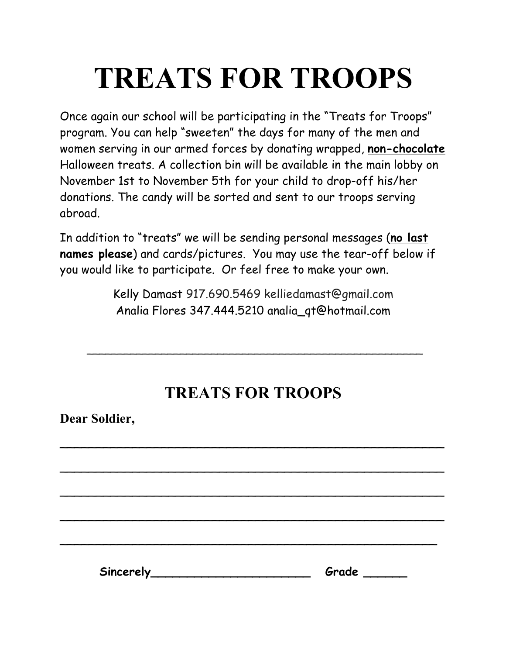## **TREATS FOR TROOPS**

Once again our school will be participating in the "Treats for Troops" program. You can help "sweeten" the days for many of the men and women serving in our armed forces by donating wrapped, **non-chocolate** Halloween treats. A collection bin will be available in the main lobby on November 1st to November 5th for your child to drop-off his/her donations. The candy will be sorted and sent to our troops serving abroad.

In addition to "treats" we will be sending personal messages (**no last names please**) and cards/pictures. You may use the tear-off below if you would like to participate. Or feel free to make your own.

> Kelly Damast 917.690.5469 kelliedamast@gmail.com Analia Flores 347.444.5210 analia\_qt@hotmail.com

## **TREATS FOR TROOPS**

 $\overline{a}$ 

\_\_\_\_\_\_\_\_\_\_\_\_\_\_\_\_\_\_\_\_\_\_\_\_\_\_\_\_\_\_\_\_\_\_\_\_\_\_\_\_\_\_\_\_\_\_\_\_\_\_\_\_\_

\_\_\_\_\_\_\_\_\_\_\_\_\_\_\_\_\_\_\_\_\_\_\_\_\_\_\_\_\_\_\_\_\_\_\_\_\_\_\_\_\_\_\_\_\_\_\_\_\_\_\_\_\_

\_\_\_\_\_\_\_\_\_\_\_\_\_\_\_\_\_\_\_\_\_\_\_\_\_\_\_\_\_\_\_\_\_\_\_\_\_\_\_\_\_\_\_\_\_\_\_\_\_\_\_\_\_

\_\_\_\_\_\_\_\_\_\_\_\_\_\_\_\_\_\_\_\_\_\_\_\_\_\_\_\_\_\_\_\_\_\_\_\_\_\_\_\_\_\_\_\_\_\_\_\_\_\_\_\_

\_\_\_\_\_\_\_\_\_\_\_\_\_\_\_\_\_\_\_\_\_\_\_\_\_\_\_\_\_\_\_\_\_\_\_\_\_\_\_\_\_\_\_\_\_\_\_\_\_\_\_\_\_\_

**Dear Soldier,**

Sincerely **Suppliers** Grade **Sincerely**